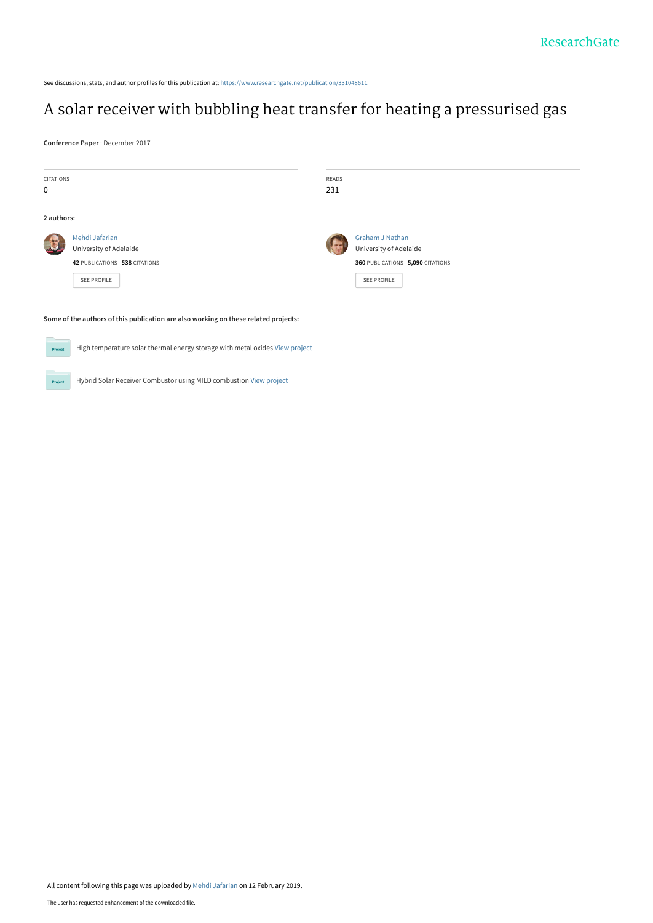See discussions, stats, and author profiles for this publication at: [https://www.researchgate.net/publication/331048611](https://www.researchgate.net/publication/331048611_A_solar_receiver_with_bubbling_heat_transfer_for_heating_a_pressurised_gas?enrichId=rgreq-d1da53c80231e4f1a44d09574cbd693f-XXX&enrichSource=Y292ZXJQYWdlOzMzMTA0ODYxMTtBUzo3MjU2MjcxNDEzNTc1NzNAMTU1MDAxNDQwMDk4NQ%3D%3D&el=1_x_2&_esc=publicationCoverPdf)

# [A solar receiver with bubbling heat transfer for heating a pressurised gas](https://www.researchgate.net/publication/331048611_A_solar_receiver_with_bubbling_heat_transfer_for_heating_a_pressurised_gas?enrichId=rgreq-d1da53c80231e4f1a44d09574cbd693f-XXX&enrichSource=Y292ZXJQYWdlOzMzMTA0ODYxMTtBUzo3MjU2MjcxNDEzNTc1NzNAMTU1MDAxNDQwMDk4NQ%3D%3D&el=1_x_3&_esc=publicationCoverPdf)

**Conference Paper** · December 2017

| CITATIONS                                                                               |                               | READS |                                  |
|-----------------------------------------------------------------------------------------|-------------------------------|-------|----------------------------------|
| 0                                                                                       |                               | 231   |                                  |
|                                                                                         |                               |       |                                  |
| 2 authors:                                                                              |                               |       |                                  |
|                                                                                         | Mehdi Jafarian                |       | <b>Graham J Nathan</b>           |
|                                                                                         | University of Adelaide        |       | University of Adelaide           |
|                                                                                         | 42 PUBLICATIONS 538 CITATIONS |       | 360 PUBLICATIONS 5,090 CITATIONS |
|                                                                                         | SEE PROFILE                   |       | SEE PROFILE                      |
|                                                                                         |                               |       |                                  |
|                                                                                         |                               |       |                                  |
| Some of the authors of this publication are also working on these related projects:     |                               |       |                                  |
| High temperature solar thermal energy storage with metal oxides View project<br>Project |                               |       |                                  |

Hybrid Solar Receiver Combustor using MILD combustion [View project](https://www.researchgate.net/project/Hybrid-Solar-Receiver-Combustor-using-MILD-combustion?enrichId=rgreq-d1da53c80231e4f1a44d09574cbd693f-XXX&enrichSource=Y292ZXJQYWdlOzMzMTA0ODYxMTtBUzo3MjU2MjcxNDEzNTc1NzNAMTU1MDAxNDQwMDk4NQ%3D%3D&el=1_x_9&_esc=publicationCoverPdf) **Project**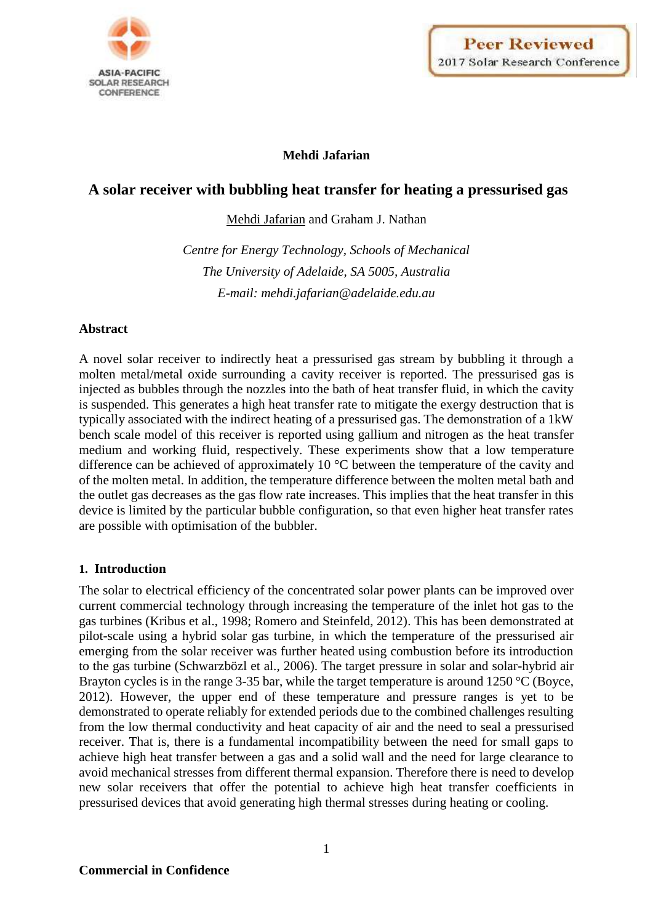

# **Mehdi Jafarian**

# **A solar receiver with bubbling heat transfer for heating a pressurised gas**

Mehdi Jafarian and Graham J. Nathan

*Centre for Energy Technology, Schools of Mechanical The University of Adelaide, SA 5005, Australia E-mail: mehdi.jafarian@adelaide.edu.au*

#### **Abstract**

A novel solar receiver to indirectly heat a pressurised gas stream by bubbling it through a molten metal/metal oxide surrounding a cavity receiver is reported. The pressurised gas is injected as bubbles through the nozzles into the bath of heat transfer fluid, in which the cavity is suspended. This generates a high heat transfer rate to mitigate the exergy destruction that is typically associated with the indirect heating of a pressurised gas. The demonstration of a 1kW bench scale model of this receiver is reported using gallium and nitrogen as the heat transfer medium and working fluid, respectively. These experiments show that a low temperature difference can be achieved of approximately 10 °C between the temperature of the cavity and of the molten metal. In addition, the temperature difference between the molten metal bath and the outlet gas decreases as the gas flow rate increases. This implies that the heat transfer in this device is limited by the particular bubble configuration, so that even higher heat transfer rates are possible with optimisation of the bubbler.

# **1. Introduction**

The solar to electrical efficiency of the concentrated solar power plants can be improved over current commercial technology through increasing the temperature of the inlet hot gas to the gas turbines (Kribus et al., 1998; Romero and Steinfeld, 2012). This has been demonstrated at pilot-scale using a hybrid solar gas turbine, in which the temperature of the pressurised air emerging from the solar receiver was further heated using combustion before its introduction to the gas turbine (Schwarzbözl et al., 2006). The target pressure in solar and solar-hybrid air Brayton cycles is in the range 3-35 bar, while the target temperature is around 1250 °C (Boyce, 2012). However, the upper end of these temperature and pressure ranges is yet to be demonstrated to operate reliably for extended periods due to the combined challenges resulting from the low thermal conductivity and heat capacity of air and the need to seal a pressurised receiver. That is, there is a fundamental incompatibility between the need for small gaps to achieve high heat transfer between a gas and a solid wall and the need for large clearance to avoid mechanical stresses from different thermal expansion. Therefore there is need to develop new solar receivers that offer the potential to achieve high heat transfer coefficients in pressurised devices that avoid generating high thermal stresses during heating or cooling.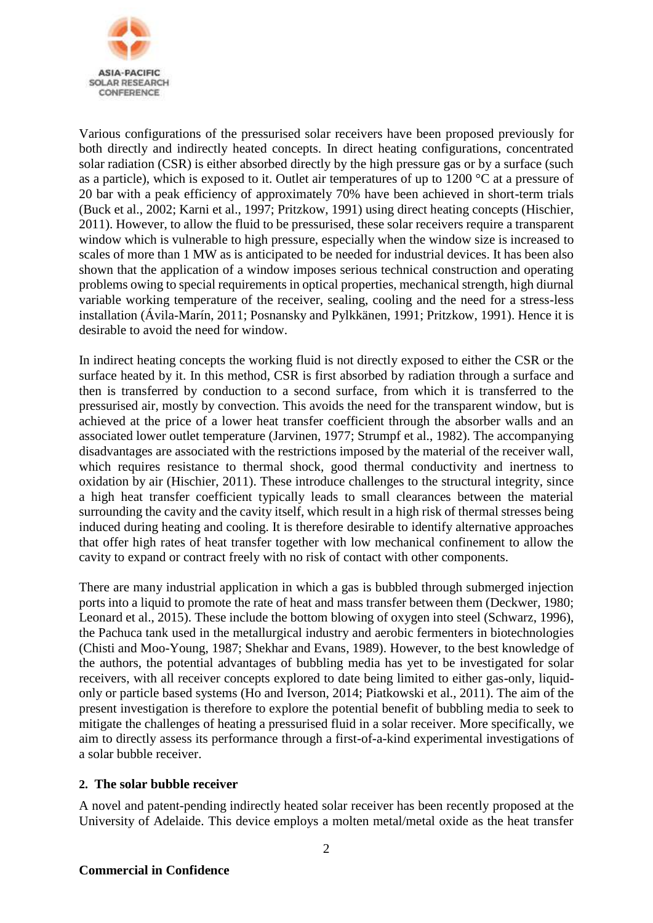

Various configurations of the pressurised solar receivers have been proposed previously for both directly and indirectly heated concepts. In direct heating configurations, concentrated solar radiation (CSR) is either absorbed directly by the high pressure gas or by a surface (such as a particle), which is exposed to it. Outlet air temperatures of up to 1200 °C at a pressure of 20 bar with a peak efficiency of approximately 70% have been achieved in short-term trials (Buck et al., 2002; Karni et al., 1997; Pritzkow, 1991) using direct heating concepts (Hischier, 2011). However, to allow the fluid to be pressurised, these solar receivers require a transparent window which is vulnerable to high pressure, especially when the window size is increased to scales of more than 1 MW as is anticipated to be needed for industrial devices. It has been also shown that the application of a window imposes serious technical construction and operating problems owing to special requirements in optical properties, mechanical strength, high diurnal variable working temperature of the receiver, sealing, cooling and the need for a stress-less installation (Ávila-Marín, 2011; Posnansky and Pylkkänen, 1991; Pritzkow, 1991). Hence it is desirable to avoid the need for window.

In indirect heating concepts the working fluid is not directly exposed to either the CSR or the surface heated by it. In this method, CSR is first absorbed by radiation through a surface and then is transferred by conduction to a second surface, from which it is transferred to the pressurised air, mostly by convection. This avoids the need for the transparent window, but is achieved at the price of a lower heat transfer coefficient through the absorber walls and an associated lower outlet temperature (Jarvinen, 1977; Strumpf et al., 1982). The accompanying disadvantages are associated with the restrictions imposed by the material of the receiver wall, which requires resistance to thermal shock, good thermal conductivity and inertness to oxidation by air (Hischier, 2011). These introduce challenges to the structural integrity, since a high heat transfer coefficient typically leads to small clearances between the material surrounding the cavity and the cavity itself, which result in a high risk of thermal stresses being induced during heating and cooling. It is therefore desirable to identify alternative approaches that offer high rates of heat transfer together with low mechanical confinement to allow the cavity to expand or contract freely with no risk of contact with other components.

There are many industrial application in which a gas is bubbled through submerged injection ports into a liquid to promote the rate of heat and mass transfer between them (Deckwer, 1980; Leonard et al., 2015). These include the bottom blowing of oxygen into steel (Schwarz, 1996), the Pachuca tank used in the metallurgical industry and aerobic fermenters in biotechnologies (Chisti and Moo-Young, 1987; Shekhar and Evans, 1989). However, to the best knowledge of the authors, the potential advantages of bubbling media has yet to be investigated for solar receivers, with all receiver concepts explored to date being limited to either gas-only, liquidonly or particle based systems (Ho and Iverson, 2014; Piatkowski et al., 2011). The aim of the present investigation is therefore to explore the potential benefit of bubbling media to seek to mitigate the challenges of heating a pressurised fluid in a solar receiver. More specifically, we aim to directly assess its performance through a first-of-a-kind experimental investigations of a solar bubble receiver.

# **2. The solar bubble receiver**

A novel and patent-pending indirectly heated solar receiver has been recently proposed at the University of Adelaide. This device employs a molten metal/metal oxide as the heat transfer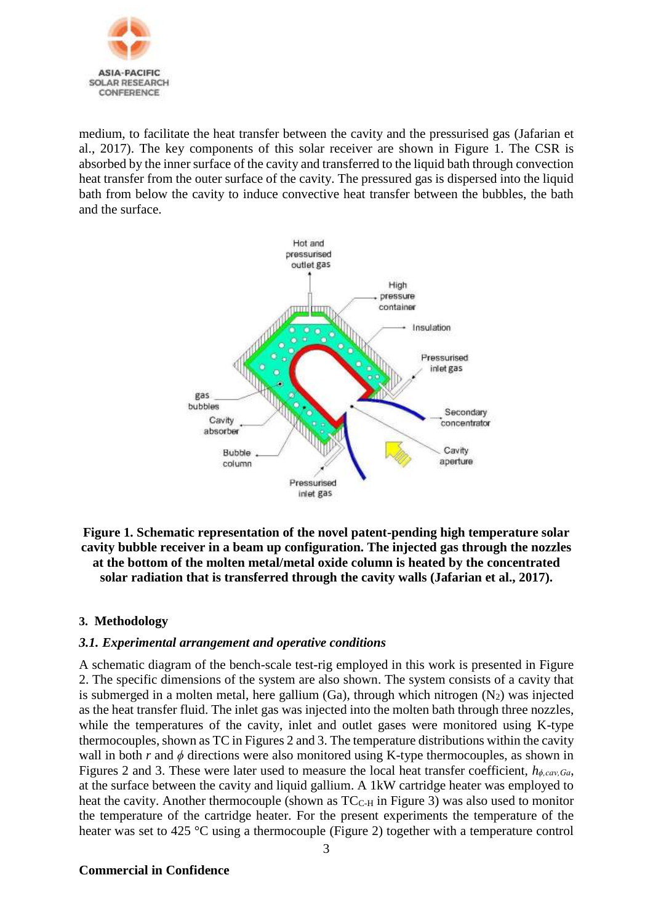

medium, to facilitate the heat transfer between the cavity and the pressurised gas (Jafarian et al., 2017). The key components of this solar receiver are shown in Figure 1. The CSR is absorbed by the inner surface of the cavity and transferred to the liquid bath through convection heat transfer from the outer surface of the cavity. The pressured gas is dispersed into the liquid bath from below the cavity to induce convective heat transfer between the bubbles, the bath and the surface.



**Figure 1. Schematic representation of the novel patent-pending high temperature solar cavity bubble receiver in a beam up configuration. The injected gas through the nozzles at the bottom of the molten metal/metal oxide column is heated by the concentrated solar radiation that is transferred through the cavity walls (Jafarian et al., 2017).**

# **3. Methodology**

# *3.1. Experimental arrangement and operative conditions*

A schematic diagram of the bench-scale test-rig employed in this work is presented in Figure 2. The specific dimensions of the system are also shown. The system consists of a cavity that is submerged in a molten metal, here gallium  $(Ga)$ , through which nitrogen  $(N_2)$  was injected as the heat transfer fluid. The inlet gas was injected into the molten bath through three nozzles, while the temperatures of the cavity, inlet and outlet gases were monitored using K-type thermocouples, shown as TC in Figures 2 and 3. The temperature distributions within the cavity wall in both  $r$  and  $\phi$  directions were also monitored using K-type thermocouples, as shown in Figures 2 and 3. These were later used to measure the local heat transfer coefficient, *hϕ,cav,Ga*, at the surface between the cavity and liquid gallium. A 1kW cartridge heater was employed to heat the cavity. Another thermocouple (shown as  $TC_{C-H}$  in Figure 3) was also used to monitor the temperature of the cartridge heater. For the present experiments the temperature of the heater was set to 425 °C using a thermocouple (Figure 2) together with a temperature control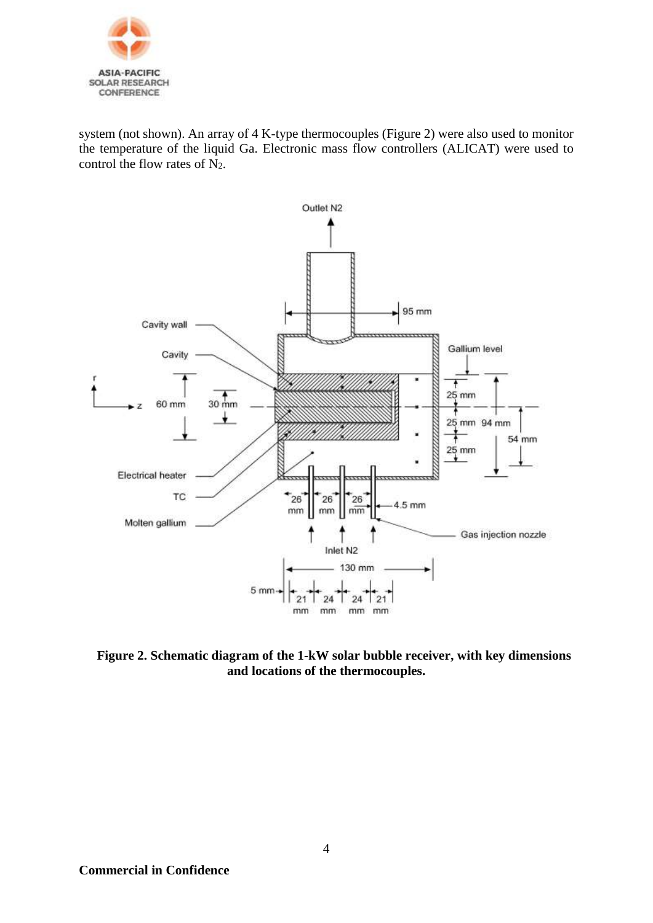

system (not shown). An array of 4 K-type thermocouples (Figure 2) were also used to monitor the temperature of the liquid Ga. Electronic mass flow controllers (ALICAT) were used to control the flow rates of  $N_2$ .



**Figure 2. Schematic diagram of the 1-kW solar bubble receiver, with key dimensions and locations of the thermocouples.**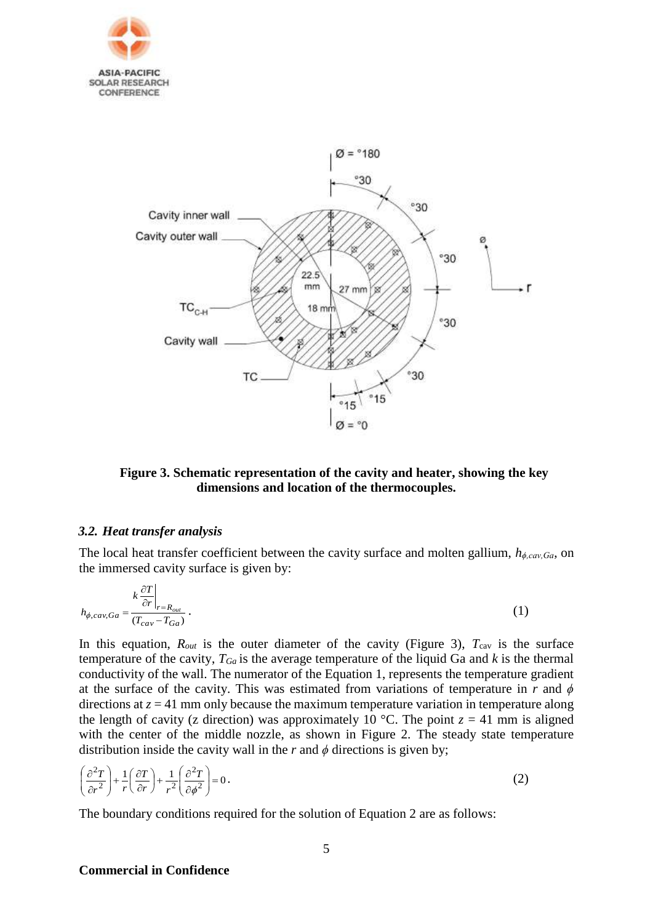



# **Figure 3. Schematic representation of the cavity and heater, showing the key dimensions and location of the thermocouples.**

#### *3.2. Heat transfer analysis*

The local heat transfer coefficient between the cavity surface and molten gallium, *hϕ,cav,Ga*, on the immersed cavity surface is given by:

$$
h_{\phi, cav,Ga} = \frac{k \left. \frac{\partial T}{\partial r} \right|_{r=R_{out}}}{(T_{cav} - T_{Ga})} \,. \tag{1}
$$

In this equation,  $R_{out}$  is the outer diameter of the cavity (Figure 3),  $T_{cav}$  is the surface temperature of the cavity,  $T_{Ga}$  is the average temperature of the liquid Ga and  $k$  is the thermal conductivity of the wall. The numerator of the Equation 1, represents the temperature gradient at the surface of the cavity. This was estimated from variations of temperature in  $r$  and  $\phi$ directions at  $z = 41$  mm only because the maximum temperature variation in temperature along the length of cavity (z direction) was approximately 10 °C. The point  $z = 41$  mm is aligned with the center of the middle nozzle, as shown in Figure 2. The steady state temperature distribution inside the cavity wall in the  $r$  and  $\phi$  directions is given by;

$$
\left(\frac{\partial^2 T}{\partial r^2}\right) + \frac{1}{r} \left(\frac{\partial T}{\partial r}\right) + \frac{1}{r^2} \left(\frac{\partial^2 T}{\partial \phi^2}\right) = 0.
$$
\n(2)

The boundary conditions required for the solution of Equation 2 are as follows: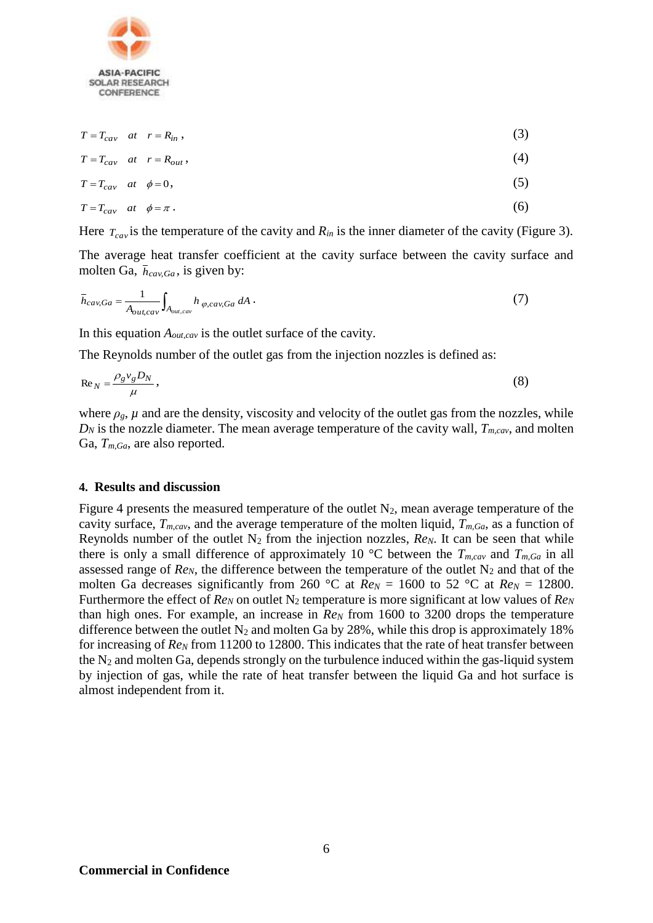

$$
T = T_{cav} \quad at \quad r = R_{in} \tag{3}
$$

$$
T = T_{cav} \quad at \quad r = R_{out}, \tag{4}
$$

$$
T = T_{cav} \quad at \quad \phi = 0,
$$
\n<sup>(5)</sup>

$$
T = T_{cav} \quad at \quad \phi = \pi \tag{6}
$$

Here  $T_{cav}$  is the temperature of the cavity and  $R_{in}$  is the inner diameter of the cavity (Figure 3).

The average heat transfer coefficient at the cavity surface between the cavity surface and molten Ga,  $\bar{h}_{cav,Ga}$ , is given by:

$$
\bar{h}_{cav,Ga} = \frac{1}{A_{out,cav}} \int_{A_{out,cav}} h_{\varphi, cav,Ga} dA \,. \tag{7}
$$

In this equation *Aout,cav* is the outlet surface of the cavity.

The Reynolds number of the outlet gas from the injection nozzles is defined as:

$$
\operatorname{Re}_N = \frac{\rho_g v_g D_N}{\mu},\tag{8}
$$

where  $\rho_g$ ,  $\mu$  and are the density, viscosity and velocity of the outlet gas from the nozzles, while  $D_N$  is the nozzle diameter. The mean average temperature of the cavity wall,  $T_{m, cav}$ , and molten Ga, *Tm,Ga*, are also reported.

#### **4. Results and discussion**

Figure 4 presents the measured temperature of the outlet  $N_2$ , mean average temperature of the cavity surface, *Tm,cav*, and the average temperature of the molten liquid, *Tm,Ga*, as a function of Reynolds number of the outlet  $N_2$  from the injection nozzles,  $Re_N$ . It can be seen that while there is only a small difference of approximately 10 °C between the  $T_{m, cav}$  and  $T_{m, Ga}$  in all assessed range of  $Re_N$ , the difference between the temperature of the outlet  $N_2$  and that of the molten Ga decreases significantly from 260 °C at  $Re_N = 1600$  to 52 °C at  $Re_N = 12800$ . Furthermore the effect of *Re<sub>N</sub>* on outlet N<sub>2</sub> temperature is more significant at low values of *Re<sub>N</sub>* than high ones. For example, an increase in *Re<sup>N</sup>* from 1600 to 3200 drops the temperature difference between the outlet  $N_2$  and molten Ga by 28%, while this drop is approximately 18% for increasing of *Re<sup>N</sup>* from 11200 to 12800. This indicates that the rate of heat transfer between the  $N_2$  and molten Ga, depends strongly on the turbulence induced within the gas-liquid system by injection of gas, while the rate of heat transfer between the liquid Ga and hot surface is almost independent from it.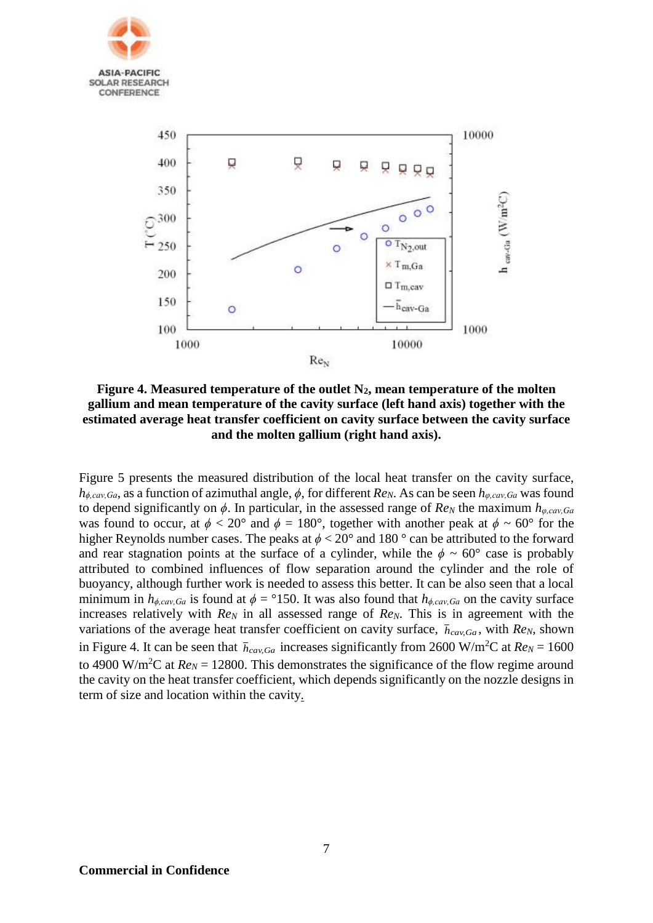



**Figure 4. Measured temperature of the outlet N2, mean temperature of the molten gallium and mean temperature of the cavity surface (left hand axis) together with the estimated average heat transfer coefficient on cavity surface between the cavity surface and the molten gallium (right hand axis).** 

Figure 5 presents the measured distribution of the local heat transfer on the cavity surface, *hϕ,cav,Ga*, as a function of azimuthal angle, *ϕ*, for different *ReN*. As can be seen *hφ,cav,Ga* was found to depend significantly on  $\phi$ . In particular, in the assessed range of  $Re_N$  the maximum  $h_{\varphi, cav,Ga}$ was found to occur, at  $\phi < 20^{\circ}$  and  $\phi = 180^{\circ}$ , together with another peak at  $\phi \sim 60^{\circ}$  for the higher Reynolds number cases. The peaks at  $\phi$  < 20° and 180 ° can be attributed to the forward and rear stagnation points at the surface of a cylinder, while the  $\phi \sim 60^{\circ}$  case is probably attributed to combined influences of flow separation around the cylinder and the role of buoyancy, although further work is needed to assess this better. It can be also seen that a local minimum in  $h_{\phi, cav, Ga}$  is found at  $\phi = 150$ . It was also found that  $h_{\phi, cav, Ga}$  on the cavity surface increases relatively with *Re<sub>N</sub>* in all assessed range of *Re<sub>N</sub>*. This is in agreement with the variations of the average heat transfer coefficient on cavity surface,  $\bar{h}_{cav,Ga}$ , with  $Re_N$ , shown in Figure 4. It can be seen that  $\bar{h}_{cav,Ga}$  increases significantly from 2600 W/m<sup>2</sup>C at  $Re_N = 1600$ to 4900 W/m<sup>2</sup>C at  $Re_N$  = 12800. This demonstrates the significance of the flow regime around the cavity on the heat transfer coefficient, which depends significantly on the nozzle designs in term of size and location within the cavity.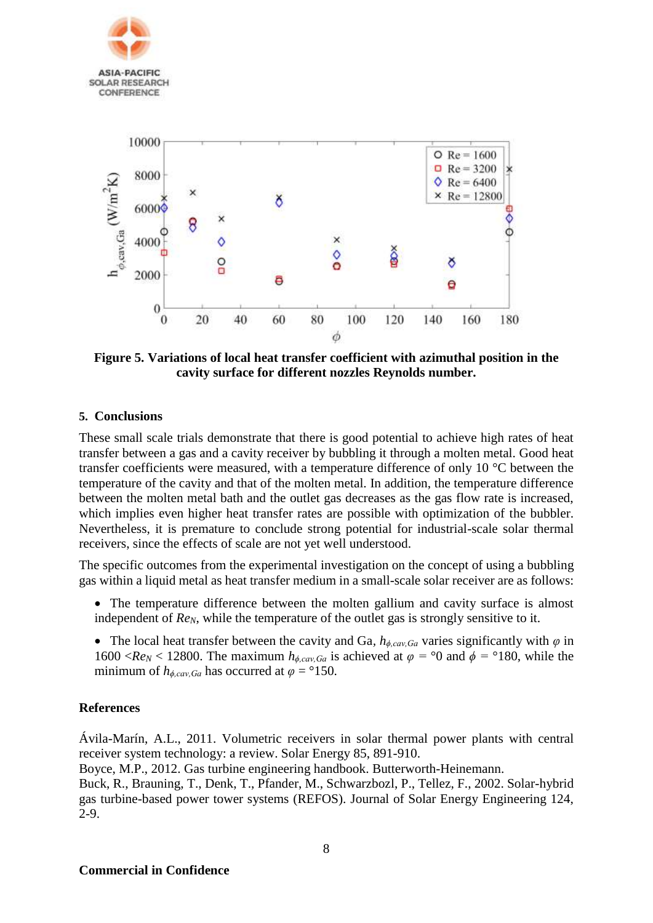

**Figure 5. Variations of local heat transfer coefficient with azimuthal position in the cavity surface for different nozzles Reynolds number.** 

# **5. Conclusions**

These small scale trials demonstrate that there is good potential to achieve high rates of heat transfer between a gas and a cavity receiver by bubbling it through a molten metal. Good heat transfer coefficients were measured, with a temperature difference of only 10 °C between the temperature of the cavity and that of the molten metal. In addition, the temperature difference between the molten metal bath and the outlet gas decreases as the gas flow rate is increased, which implies even higher heat transfer rates are possible with optimization of the bubbler. Nevertheless, it is premature to conclude strong potential for industrial-scale solar thermal receivers, since the effects of scale are not yet well understood.

The specific outcomes from the experimental investigation on the concept of using a bubbling gas within a liquid metal as heat transfer medium in a small-scale solar receiver are as follows:

- The temperature difference between the molten gallium and cavity surface is almost independent of *Re<sub>N</sub>*, while the temperature of the outlet gas is strongly sensitive to it.
- The local heat transfer between the cavity and Ga,  $h_{\phi, cav,Ga}$  varies significantly with  $\varphi$  in 1600 <*Re<sub>N</sub>* < 12800. The maximum  $h_{\phi, cav, Ga}$  is achieved at  $\varphi = 0$  and  $\phi = 180$ , while the minimum of  $h_{\phi, cav,Ga}$  has occurred at  $\varphi = 150$ .

#### **References**

Ávila-Marín, A.L., 2011. Volumetric receivers in solar thermal power plants with central receiver system technology: a review. Solar Energy 85, 891-910.

Boyce, M.P., 2012. Gas turbine engineering handbook. Butterworth-Heinemann.

Buck, R., Brauning, T., Denk, T., Pfander, M., Schwarzbozl, P., Tellez, F., 2002. Solar-hybrid gas turbine-based power tower systems (REFOS). Journal of Solar Energy Engineering 124, 2-9.